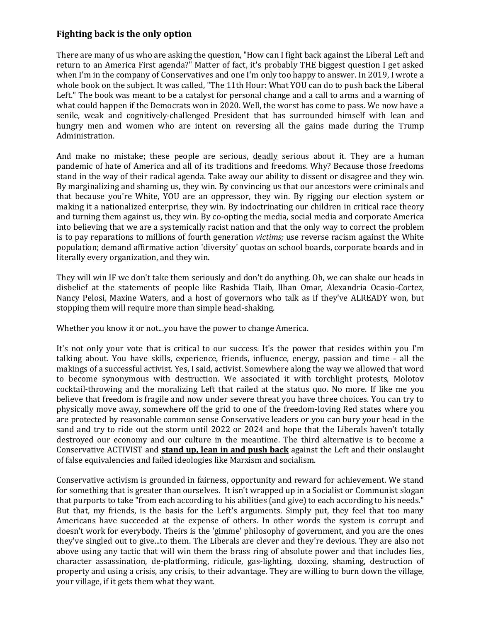## **Fighting back is the only option**

There are many of us who are asking the question, "How can I fight back against the Liberal Left and return to an America First agenda?" Matter of fact, it's probably THE biggest question I get asked when I'm in the company of Conservatives and one I'm only too happy to answer. In 2019, I wrote a whole book on the subject. It was called, "The 11th Hour: What YOU can do to push back the Liberal Left." The book was meant to be a catalyst for personal change and a call to arms and a warning of what could happen if the Democrats won in 2020. Well, the worst has come to pass. We now have a senile, weak and cognitively-challenged President that has surrounded himself with lean and hungry men and women who are intent on reversing all the gains made during the Trump Administration.

And make no mistake; these people are serious, deadly serious about it. They are a human pandemic of hate of America and all of its traditions and freedoms. Why? Because those freedoms stand in the way of their radical agenda. Take away our ability to dissent or disagree and they win. By marginalizing and shaming us, they win. By convincing us that our ancestors were criminals and that because you're White, YOU are an oppressor, they win. By rigging our election system or making it a nationalized enterprise, they win. By indoctrinating our children in critical race theory and turning them against us, they win. By co-opting the media, social media and corporate America into believing that we are a systemically racist nation and that the only way to correct the problem is to pay reparations to millions of fourth generation *victims;* use reverse racism against the White population; demand affirmative action 'diversity' quotas on school boards, corporate boards and in literally every organization, and they win.

They will win IF we don't take them seriously and don't do anything. Oh, we can shake our heads in disbelief at the statements of people like Rashida Tlaib, Ilhan Omar, Alexandria Ocasio-Cortez, Nancy Pelosi, Maxine Waters, and a host of governors who talk as if they've ALREADY won, but stopping them will require more than simple head-shaking.

Whether you know it or not...you have the power to change America.

It's not only your vote that is critical to our success. It's the power that resides within you I'm talking about. You have skills, experience, friends, influence, energy, passion and time - all the makings of a successful activist. Yes, I said, activist. Somewhere along the way we allowed that word to become synonymous with destruction. We associated it with torchlight protests, Molotov cocktail-throwing and the moralizing Left that railed at the status quo. No more. If like me you believe that freedom is fragile and now under severe threat you have three choices. You can try to physically move away, somewhere off the grid to one of the freedom-loving Red states where you are protected by reasonable common sense Conservative leaders or you can bury your head in the sand and try to ride out the storm until 2022 or 2024 and hope that the Liberals haven't totally destroyed our economy and our culture in the meantime. The third alternative is to become a Conservative ACTIVIST and **stand up, lean in and push back** against the Left and their onslaught of false equivalencies and failed ideologies like Marxism and socialism.

Conservative activism is grounded in fairness, opportunity and reward for achievement. We stand for something that is greater than ourselves. It isn't wrapped up in a Socialist or Communist slogan that purports to take "from each according to his abilities (and give) to each according to his needs." But that, my friends, is the basis for the Left's arguments. Simply put, they feel that too many Americans have succeeded at the expense of others. In other words the system is corrupt and doesn't work for everybody. Theirs is the 'gimme' philosophy of government, and you are the ones they've singled out to give...to them. The Liberals are clever and they're devious. They are also not above using any tactic that will win them the brass ring of absolute power and that includes lies, character assassination, de-platforming, ridicule, gas-lighting, doxxing, shaming, destruction of property and using a crisis, any crisis, to their advantage. They are willing to burn down the village, your village, if it gets them what they want.